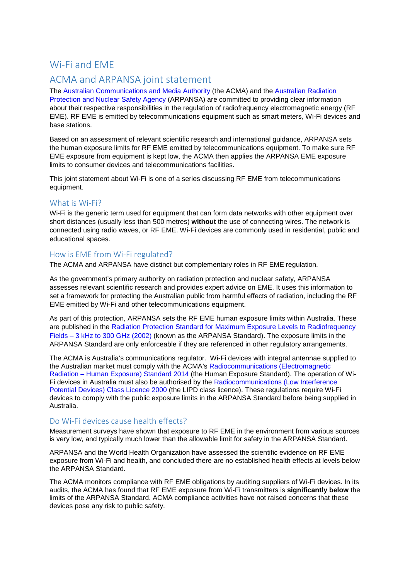## Wi-Fi and EME

# ACMA and ARPANSA joint statement

The [Australian Communications and Media Authority](http://www.acma.gov.au/) (the ACMA) and the [Australian Radiation](http://www.arpansa.gov.au/)  [Protection and Nuclear Safety Agency](http://www.arpansa.gov.au/) (ARPANSA) are committed to providing clear information about their respective responsibilities in the regulation of radiofrequency electromagnetic energy (RF EME). RF EME is emitted by telecommunications equipment such as smart meters, Wi-Fi devices and base stations.

Based on an assessment of relevant scientific research and international guidance, ARPANSA sets the human exposure limits for RF EME emitted by telecommunications equipment. To make sure RF EME exposure from equipment is kept low, the ACMA then applies the ARPANSA EME exposure limits to consumer devices and telecommunications facilities.

This joint statement about Wi-Fi is one of a series discussing RF EME from telecommunications equipment.

## What is Wi-Fi?

Wi-Fi is the generic term used for equipment that can form data networks with other equipment over short distances (usually less than 500 metres) **without** the use of connecting wires. The network is connected using radio waves, or RF EME. Wi-Fi devices are commonly used in residential, public and educational spaces.

#### How is EME from Wi-Fi regulated?

The ACMA and ARPANSA have distinct but complementary roles in RF EME regulation.

As the government's primary authority on radiation protection and nuclear safety, ARPANSA assesses relevant scientific research and provides expert advice on EME. It uses this information to set a framework for protecting the Australian public from harmful effects of radiation, including the RF EME emitted by Wi-Fi and other telecommunications equipment.

As part of this protection, ARPANSA sets the RF EME human exposure limits within Australia. These are published in the [Radiation Protection Standard for Maximum Exposure Levels to Radiofrequency](http://www.arpansa.gov.au/RadiationProtection/Factsheets/is_rfStandard.cfm)  Fields – [3 kHz to 300 GHz \(2002\)](http://www.arpansa.gov.au/RadiationProtection/Factsheets/is_rfStandard.cfm) (known as the ARPANSA Standard). The exposure limits in the ARPANSA Standard are only enforceable if they are referenced in other regulatory arrangements.

The ACMA is Australia's communications regulator. Wi-Fi devices with integral antennae supplied to the Australian market must comply with the ACMA's [Radiocommunications \(Electromagnetic](http://www.comlaw.gov.au/Series/F2014L00960)  Radiation – [Human Exposure\) Standard 2014](http://www.comlaw.gov.au/Series/F2014L00960) (the Human Exposure Standard). The operation of Wi-Fi devices in Australia must also be authorised by the [Radiocommunications \(Low Interference](http://www.comlaw.gov.au/Series/F2005B00339)  [Potential Devices\) Class Licence 2000](http://www.comlaw.gov.au/Series/F2005B00339) (the LIPD class licence). These regulations require Wi-Fi devices to comply with the public exposure limits in the ARPANSA Standard before being supplied in Australia.

## Do Wi-Fi devices cause health effects?

Measurement surveys have shown that exposure to RF EME in the environment from various sources is very low, and typically much lower than the allowable limit for safety in the ARPANSA Standard.

ARPANSA and the World Health Organization have assessed the scientific evidence on RF EME exposure from Wi-Fi and health, and concluded there are no established health effects at levels below the ARPANSA Standard.

The ACMA monitors compliance with RF EME obligations by auditing suppliers of Wi-Fi devices. In its audits, the ACMA has found that RF EME exposure from Wi-Fi transmitters is **significantly below** the limits of the ARPANSA Standard. ACMA compliance activities have not raised concerns that these devices pose any risk to public safety.